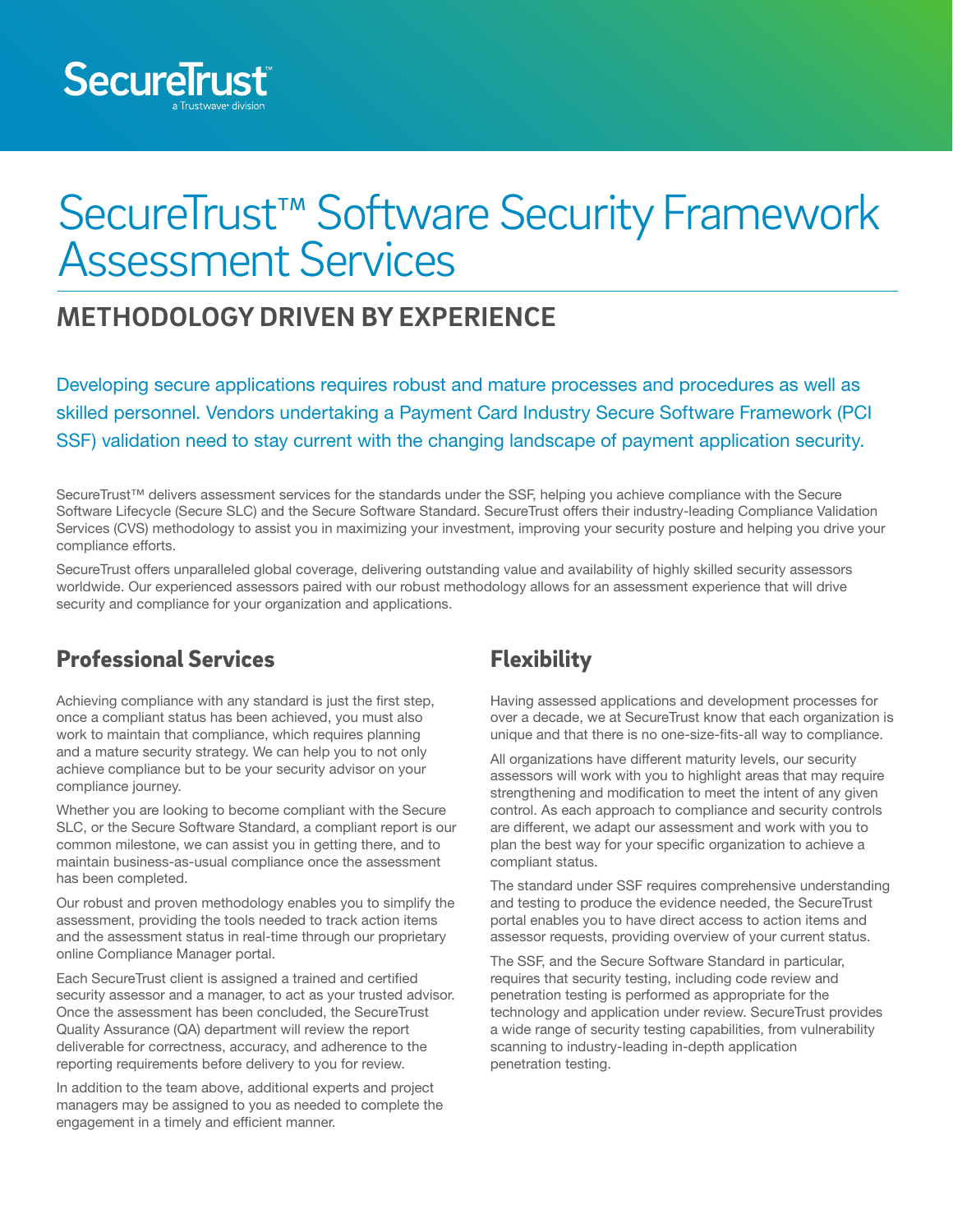

# SecureTrust<sup>™</sup> Software Security Framework Assessment Services

# **METHODOLOGY DRIVEN BY EXPERIENCE**

Developing secure applications requires robust and mature processes and procedures as well as skilled personnel. Vendors undertaking a Payment Card Industry Secure Software Framework (PCI SSF) validation need to stay current with the changing landscape of payment application security.

SecureTrust™ delivers assessment services for the standards under the SSF, helping you achieve compliance with the Secure Software Lifecycle (Secure SLC) and the Secure Software Standard. SecureTrust offers their industry-leading Compliance Validation Services (CVS) methodology to assist you in maximizing your investment, improving your security posture and helping you drive your compliance efforts.

SecureTrust offers unparalleled global coverage, delivering outstanding value and availability of highly skilled security assessors worldwide. Our experienced assessors paired with our robust methodology allows for an assessment experience that will drive security and compliance for your organization and applications.

### Professional Services

Achieving compliance with any standard is just the first step, once a compliant status has been achieved, you must also work to maintain that compliance, which requires planning and a mature security strategy. We can help you to not only achieve compliance but to be your security advisor on your compliance journey.

Whether you are looking to become compliant with the Secure SLC, or the Secure Software Standard, a compliant report is our common milestone, we can assist you in getting there, and to maintain business-as-usual compliance once the assessment has been completed.

Our robust and proven methodology enables you to simplify the assessment, providing the tools needed to track action items and the assessment status in real-time through our proprietary online Compliance Manager portal.

Each SecureTrust client is assigned a trained and certified security assessor and a manager, to act as your trusted advisor. Once the assessment has been concluded, the SecureTrust Quality Assurance (QA) department will review the report deliverable for correctness, accuracy, and adherence to the reporting requirements before delivery to you for review.

In addition to the team above, additional experts and project managers may be assigned to you as needed to complete the engagement in a timely and efficient manner.

# **Flexibility**

Having assessed applications and development processes for over a decade, we at SecureTrust know that each organization is unique and that there is no one-size-fits-all way to compliance.

All organizations have different maturity levels, our security assessors will work with you to highlight areas that may require strengthening and modification to meet the intent of any given control. As each approach to compliance and security controls are different, we adapt our assessment and work with you to plan the best way for your specific organization to achieve a compliant status.

The standard under SSF requires comprehensive understanding and testing to produce the evidence needed, the SecureTrust portal enables you to have direct access to action items and assessor requests, providing overview of your current status.

The SSF, and the Secure Software Standard in particular, requires that security testing, including code review and penetration testing is performed as appropriate for the technology and application under review. SecureTrust provides a wide range of security testing capabilities, from vulnerability scanning to industry-leading in-depth application penetration testing.